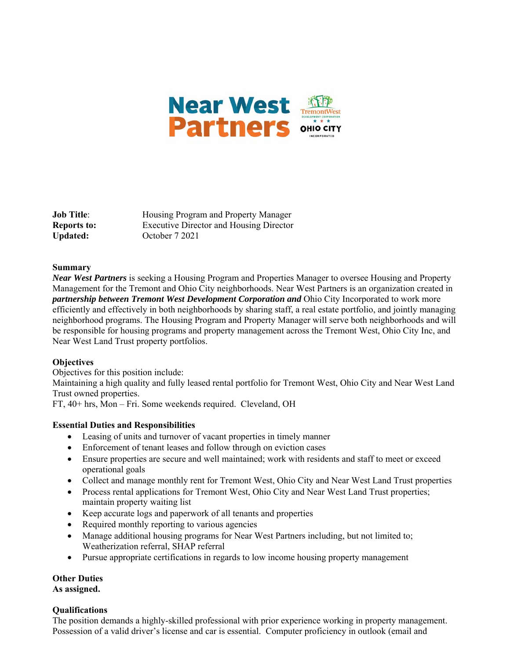

**Job Title:** Housing Program and Property Manager **Reports to:** Executive Director and Housing Director Updated: October 7 2021

#### **Summary**

*Near West Partners* is seeking a Housing Program and Properties Manager to oversee Housing and Property Management for the Tremont and Ohio City neighborhoods. Near West Partners is an organization created in *partnership between Tremont West Development Corporation and* Ohio City Incorporated to work more efficiently and effectively in both neighborhoods by sharing staff, a real estate portfolio, and jointly managing neighborhood programs. The Housing Program and Property Manager will serve both neighborhoods and will be responsible for housing programs and property management across the Tremont West, Ohio City Inc, and Near West Land Trust property portfolios.

# **Objectives**

Objectives for this position include:

Maintaining a high quality and fully leased rental portfolio for Tremont West, Ohio City and Near West Land Trust owned properties.

FT, 40+ hrs, Mon – Fri. Some weekends required. Cleveland, OH

#### **Essential Duties and Responsibilities**

- Leasing of units and turnover of vacant properties in timely manner
- Enforcement of tenant leases and follow through on eviction cases
- Ensure properties are secure and well maintained; work with residents and staff to meet or exceed operational goals
- Collect and manage monthly rent for Tremont West, Ohio City and Near West Land Trust properties
- Process rental applications for Tremont West, Ohio City and Near West Land Trust properties; maintain property waiting list
- Keep accurate logs and paperwork of all tenants and properties
- Required monthly reporting to various agencies
- Manage additional housing programs for Near West Partners including, but not limited to; Weatherization referral, SHAP referral
- Pursue appropriate certifications in regards to low income housing property management

# **Other Duties**

# **As assigned.**

# **Qualifications**

The position demands a highly-skilled professional with prior experience working in property management. Possession of a valid driver's license and car is essential. Computer proficiency in outlook (email and